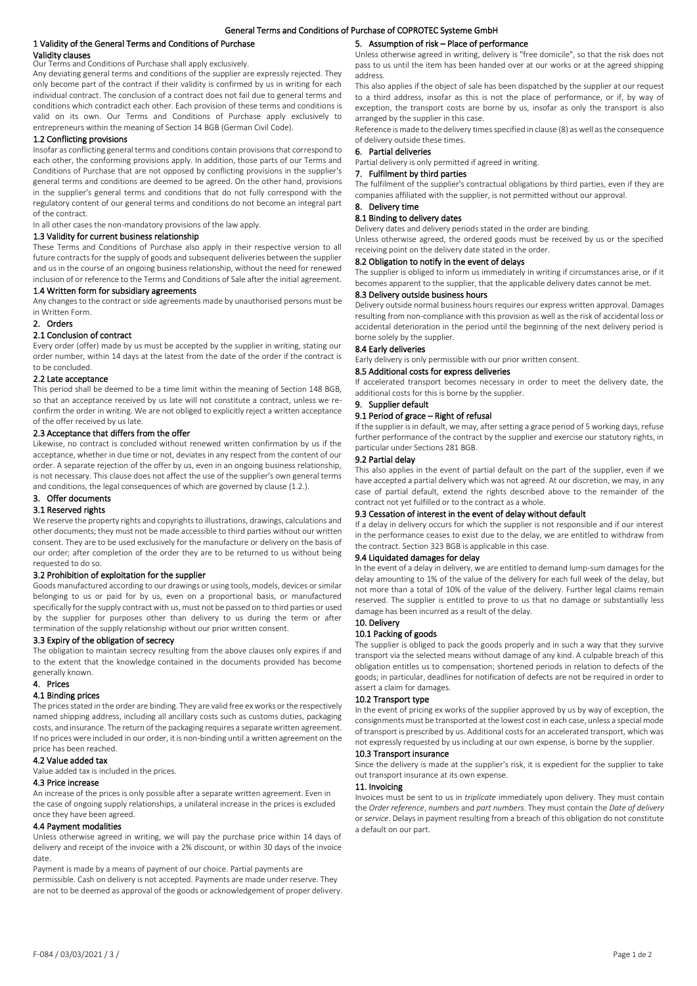#### 1 Validity of the General Terms and Conditions of Purchase Validity clauses Our Terms and Conditions of Purchase shall apply exclusively.

Any deviating general terms and conditions of the supplier are expressly rejected. They only become part of the contract if their validity is confirmed by us in writing for each individual contract. The conclusion of a contract does not fail due to general terms and conditions which contradict each other. Each provision of these terms and conditions is valid on its own. Our Terms and Conditions of Purchase apply exclusively to entrepreneurs within the meaning of Section 14 BGB (German Civil Code).

# 1.2 Conflicting provisions

Insofar as conflicting general terms and conditions contain provisions that correspond to each other, the conforming provisions apply. In addition, those parts of our Terms and Conditions of Purchase that are not opposed by conflicting provisions in the supplier's general terms and conditions are deemed to be agreed. On the other hand, provisions in the supplier's general terms and conditions that do not fully correspond with the regulatory content of our general terms and conditions do not become an integral part of the contract.

In all other cases the non-mandatory provisions of the law apply.

# 1.3 Validity for current business relationship

These Terms and Conditions of Purchase also apply in their respective version to all future contracts for the supply of goods and subsequent deliveries between the supplier and us in the course of an ongoing business relationship, without the need for renewed inclusion of or reference to the Terms and Conditions of Sale after the initial agreement.

# 1.4 Written form for subsidiary agreements

Any changes to the contract or side agreements made by unauthorised persons must be in Written Form.

#### 2. Orders

### 2.1 Conclusion of contract

Every order (offer) made by us must be accepted by the supplier in writing, stating our order number, within 14 days at the latest from the date of the order if the contract is to be concluded.

#### 2.2 Late acceptance

This period shall be deemed to be a time limit within the meaning of Section 148 BGB, so that an acceptance received by us late will not constitute a contract, unless we reconfirm the order in writing. We are not obliged to explicitly reject a written acceptance of the offer received by us late.

# 2.3 Acceptance that differs from the offer

Likewise, no contract is concluded without renewed written confirmation by us if the acceptance, whether in due time or not, deviates in any respect from the content of our order. A separate rejection of the offer by us, even in an ongoing business relationship, is not necessary. This clause does not affect the use of the supplier's own general terms and conditions, the legal consequences of which are governed by clause (1.2.).

# 3. Offer documents

#### 3.1 Reserved rights

We reserve the property rights and copyrights to illustrations, drawings, calculations and other documents; they must not be made accessible to third parties without our written consent. They are to be used exclusively for the manufacture or delivery on the basis of our order; after completion of the order they are to be returned to us without being requested to do so.

#### 3.2 Prohibition of exploitation for the supplier

Goods manufactured according to our drawings or using tools, models, devices or similar belonging to us or paid for by us, even on a proportional basis, or manufactured specifically for the supply contract with us, must not be passed on to third parties or used by the supplier for purposes other than delivery to us during the term or after termination of the supply relationship without our prior written consent.

# 3.3 Expiry of the obligation of secrecy

The obligation to maintain secrecy resulting from the above clauses only expires if and to the extent that the knowledge contained in the documents provided has become generally known.

# 4. Prices

# 4.1 Binding prices

The prices stated in the order are binding. They are valid free ex works or the respectively named shipping address, including all ancillary costs such as customs duties, packaging costs, and insurance. The return of the packaging requires a separate written agreement. If no prices were included in our order, it is non-binding until a written agreement on the price has been reached.

## 4.2 Value added tax

Value added tax is included in the prices.

#### 4.3 Price increase

An increase of the prices is only possible after a separate written agreement. Even in the case of ongoing supply relationships, a unilateral increase in the prices is excluded once they have been agreed.

#### 4.4 Payment modalities

Unless otherwise agreed in writing, we will pay the purchase price within 14 days of delivery and receipt of the invoice with a 2% discount, or within 30 days of the invoice date.

Payment is made by a means of payment of our choice. Partial payments are permissible. Cash on delivery is not accepted. Payments are made under reserve. They are not to be deemed as approval of the goods or acknowledgement of proper delivery.

# 5. Assumption of risk – Place of performance

Unless otherwise agreed in writing, delivery is "free domicile", so that the risk does not pass to us until the item has been handed over at our works or at the agreed shipping address.

This also applies if the object of sale has been dispatched by the supplier at our request to a third address, insofar as this is not the place of performance, or if, by way of exception, the transport costs are borne by us, insofar as only the transport is also arranged by the supplier in this case.

Reference is made to the delivery times specified in clause (8) as well as the consequence of delivery outside these times.

# 6. Partial deliveries

Partial delivery is only permitted if agreed in writing.

# 7. Fulfilment by third parties

The fulfilment of the supplier's contractual obligations by third parties, even if they are companies affiliated with the supplier, is not permitted without our approval.

# 8. Delivery time

8.1 Binding to delivery dates

Delivery dates and delivery periods stated in the order are binding.

Unless otherwise agreed, the ordered goods must be received by us or the specified receiving point on the delivery date stated in the order.

#### 8.2 Obligation to notify in the event of delays

The supplier is obliged to inform us immediately in writing if circumstances arise, or if it becomes apparent to the supplier, that the applicable delivery dates cannot be met.

#### 8.3 Delivery outside business hours

Delivery outside normal business hours requires our express written approval. Damages resulting from non-compliance with this provision as well as the risk of accidental loss or accidental deterioration in the period until the beginning of the next delivery period is borne solely by the supplier.

# 8.4 Early deliveries

Early delivery is only permissible with our prior written consent.

# 8.5 Additional costs for express deliveries

If accelerated transport becomes necessary in order to meet the delivery date, the additional costs for this is borne by the supplier.

#### 9. Supplier default

#### 9.1 Period of grace – Right of refusal

If the supplier is in default, we may, after setting a grace period of 5 working days, refuse further performance of the contract by the supplier and exercise our statutory rights, in particular under Sections 281 BGB.

# 9.2 Partial delay

This also applies in the event of partial default on the part of the supplier, even if we have accepted a partial delivery which was not agreed. At our discretion, we may, in any case of partial default, extend the rights described above to the remainder of the contract not yet fulfilled or to the contract as a whole.

# 9.3 Cessation of interest in the event of delay without default

If a delay in delivery occurs for which the supplier is not responsible and if our interest in the performance ceases to exist due to the delay, we are entitled to withdraw from the contract. Section 323 BGB is applicable in this case.

#### 9.4 Liquidated damages for delay

In the event of a delay in delivery, we are entitled to demand lump-sum damages for the delay amounting to 1% of the value of the delivery for each full week of the delay, but not more than a total of 10% of the value of the delivery. Further legal claims remain reserved. The supplier is entitled to prove to us that no damage or substantially less damage has been incurred as a result of the delay.

#### 10. Delivery 10.1 Packing of goods

The supplier is obliged to pack the goods properly and in such a way that they survive transport via the selected means without damage of any kind. A culpable breach of this obligation entitles us to compensation; shortened periods in relation to defects of the goods; in particular, deadlines for notification of defects are not be required in order to assert a claim for damages.

#### 10.2 Transport type

In the event of pricing ex works of the supplier approved by us by way of exception, the consignments must be transported at the lowest cost in each case, unless a special mode of transport is prescribed by us. Additional costs for an accelerated transport, which was not expressly requested by us including at our own expense, is borne by the supplier.

#### 10.3 Transport insurance

Since the delivery is made at the supplier's risk, it is expedient for the supplier to take out transport insurance at its own expense.

# 11. Invoicing

Invoices must be sent to us in *triplicate* immediately upon delivery. They must contain the *Order reference*, *numbers* and *part numbers*. They must contain the *Date of delivery* or *service*. Delays in payment resulting from a breach of this obligation do not constitute a default on our part.